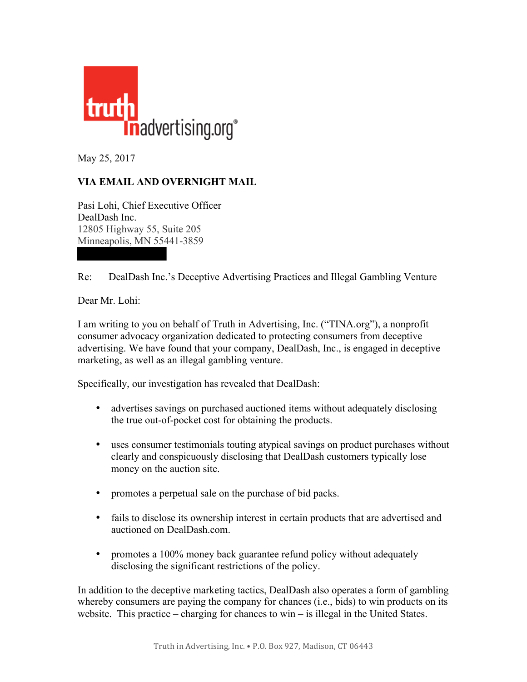

May 25, 2017

## **VIA EMAIL AND OVERNIGHT MAIL**

Pasi Lohi, Chief Executive Officer DealDash Inc. 12805 Highway 55, Suite 205 Minneapolis, MN 55441-3859

Re: DealDash Inc.'s Deceptive Advertising Practices and Illegal Gambling Venture

Dear Mr. Lohi:

I am writing to you on behalf of Truth in Advertising, Inc. ("TINA.org"), a nonprofit consumer advocacy organization dedicated to protecting consumers from deceptive advertising. We have found that your company, DealDash, Inc., is engaged in deceptive marketing, as well as an illegal gambling venture.

Specifically, our investigation has revealed that DealDash:

- advertises savings on purchased auctioned items without adequately disclosing the true out-of-pocket cost for obtaining the products.
- uses consumer testimonials touting atypical savings on product purchases without clearly and conspicuously disclosing that DealDash customers typically lose money on the auction site.
- promotes a perpetual sale on the purchase of bid packs.
- fails to disclose its ownership interest in certain products that are advertised and auctioned on DealDash.com.
- promotes a 100% money back guarantee refund policy without adequately disclosing the significant restrictions of the policy.

In addition to the deceptive marketing tactics, DealDash also operates a form of gambling whereby consumers are paying the company for chances (i.e., bids) to win products on its website. This practice – charging for chances to win – is illegal in the United States.